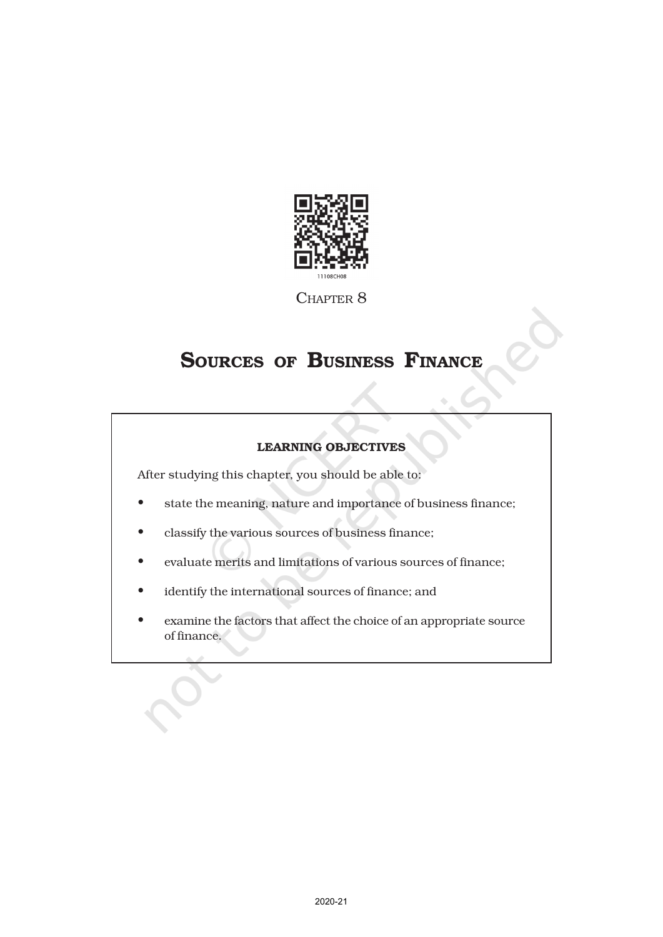

CHAPTER 8

# SOURCES OF BUSINESS FINANCE

# LEARNING OBJECTIVES

After studying this chapter, you should be able to:

- state the meaning, nature and importance of business finance;
- classify the various sources of business finance;
- evaluate merits and limitations of various sources of finance;
- identify the international sources of finance; and
- examine the factors that affect the choice of an appropriate source of finance.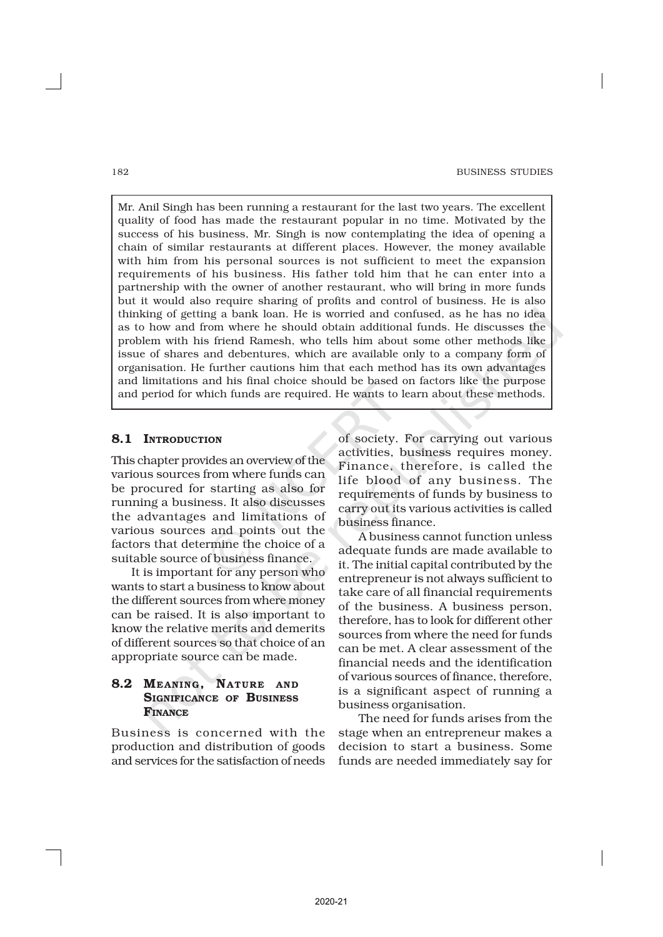Mr. Anil Singh has been running a restaurant for the last two years. The excellent quality of food has made the restaurant popular in no time. Motivated by the success of his business, Mr. Singh is now contemplating the idea of opening a chain of similar restaurants at different places. However, the money available with him from his personal sources is not sufficient to meet the expansion requirements of his business. His father told him that he can enter into a partnership with the owner of another restaurant, who will bring in more funds but it would also require sharing of profits and control of business. He is also thinking of getting a bank loan. He is worried and confused, as he has no idea as to how and from where he should obtain additional funds. He discusses the problem with his friend Ramesh, who tells him about some other methods like issue of shares and debentures, which are available only to a company form of organisation. He further cautions him that each method has its own advantages and limitations and his final choice should be based on factors like the purpose and period for which funds are required. He wants to learn about these methods.

# 8.1 INTRODUCTION

This chapter provides an overview of the various sources from where funds can be procured for starting as also for running a business. It also discusses the advantages and limitations of various sources and points out the factors that determine the choice of a suitable source of business finance.

It is important for any person who wants to start a business to know about the different sources from where money can be raised. It is also important to know the relative merits and demerits of different sources so that choice of an appropriate source can be made.

# 8.2 MEANING, NATURE AND SIGNIFICANCE OF BUSINESS FINANCE

Business is concerned with the production and distribution of goods and services for the satisfaction of needs of society. For carrying out various activities, business requires money. Finance, therefore, is called the life blood of any business. The requirements of funds by business to carry out its various activities is called business finance.

A business cannot function unless adequate funds are made available to it. The initial capital contributed by the entrepreneur is not always sufficient to take care of all financial requirements of the business. A business person, therefore, has to look for different other sources from where the need for funds can be met. A clear assessment of the financial needs and the identification of various sources of finance, therefore, is a significant aspect of running a business organisation.

The need for funds arises from the stage when an entrepreneur makes a decision to start a business. Some funds are needed immediately say for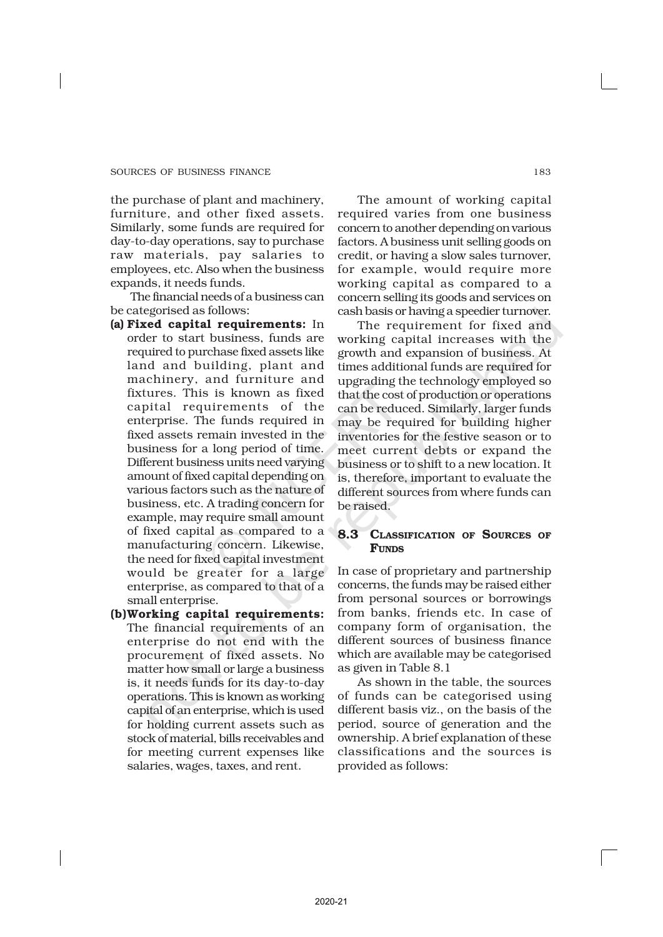the purchase of plant and machinery, furniture, and other fixed assets. Similarly, some funds are required for day-to-day operations, say to purchase raw materials, pay salaries to employees, etc. Also when the business expands, it needs funds.

The financial needs of a business can be categorised as follows:

- (a) Fixed capital requirements: In order to start business, funds are required to purchase fixed assets like land and building, plant and machinery, and furniture and fixtures. This is known as fixed capital requirements of the enterprise. The funds required in fixed assets remain invested in the business for a long period of time. Different business units need varying amount of fixed capital depending on various factors such as the nature of business, etc. A trading concern for example, may require small amount of fixed capital as compared to a manufacturing concern. Likewise, the need for fixed capital investment would be greater for a large enterprise, as compared to that of a small enterprise.
- (b)Working capital requirements: The financial requirements of an enterprise do not end with the procurement of fixed assets. No matter how small or large a business is, it needs funds for its day-to-day operations. This is known as working capital of an enterprise, which is used for holding current assets such as stock of material, bills receivables and for meeting current expenses like salaries, wages, taxes, and rent.

The amount of working capital required varies from one business concern to another depending on various factors. A business unit selling goods on credit, or having a slow sales turnover, for example, would require more working capital as compared to a concern selling its goods and services on cash basis or having a speedier turnover.

The requirement for fixed and working capital increases with the growth and expansion of business. At times additional funds are required for upgrading the technology employed so that the cost of production or operations can be reduced. Similarly, larger funds may be required for building higher inventories for the festive season or to meet current debts or expand the business or to shift to a new location. It is, therefore, important to evaluate the different sources from where funds can be raised.

# 8.3 CLASSIFICATION OF SOURCES OF **FUNDS**

In case of proprietary and partnership concerns, the funds may be raised either from personal sources or borrowings from banks, friends etc. In case of company form of organisation, the different sources of business finance which are available may be categorised as given in Table 8.1

As shown in the table, the sources of funds can be categorised using different basis viz., on the basis of the period, source of generation and the ownership. A brief explanation of these classifications and the sources is provided as follows: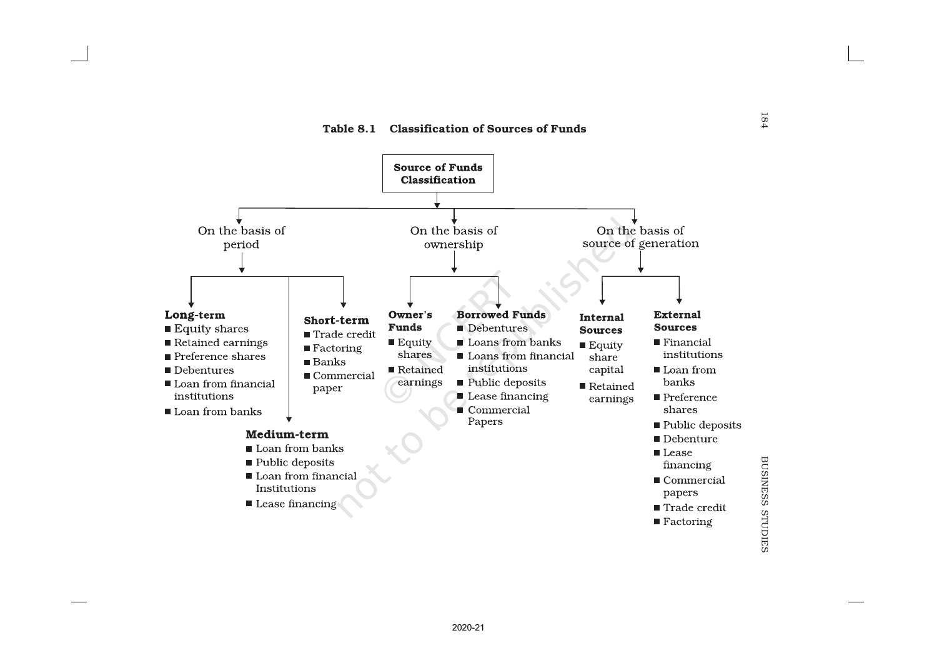

BUSINESS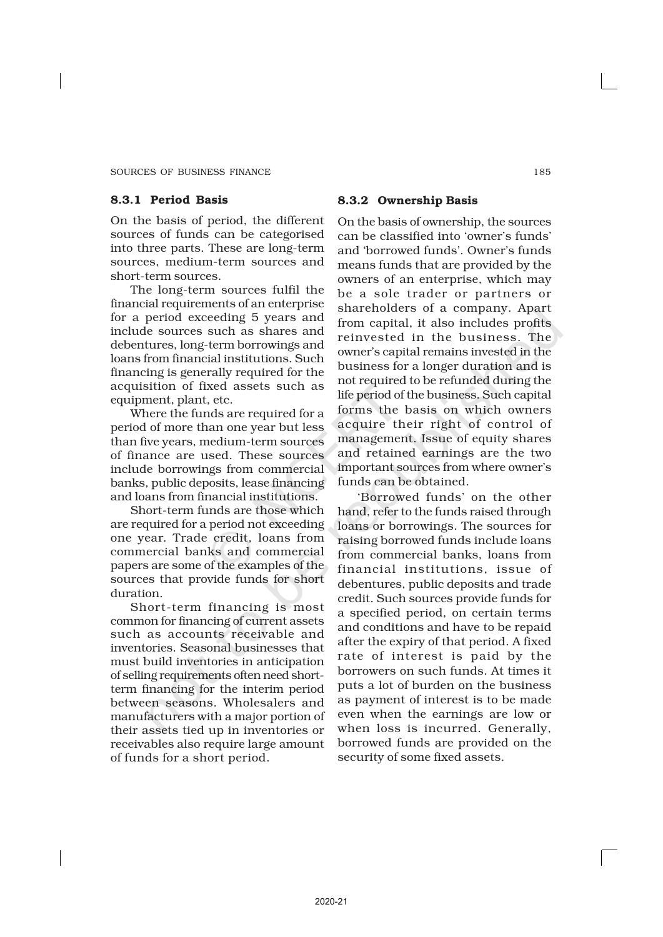# 8.3.1 Period Basis

On the basis of period, the different sources of funds can be categorised into three parts. These are long-term sources, medium-term sources and short-term sources.

The long-term sources fulfil the financial requirements of an enterprise for a period exceeding 5 years and include sources such as shares and debentures, long-term borrowings and loans from financial institutions. Such financing is generally required for the acquisition of fixed assets such as equipment, plant, etc.

Where the funds are required for a period of more than one year but less than five years, medium-term sources of finance are used. These sources include borrowings from commercial banks, public deposits, lease financing and loans from financial institutions.

Short-term funds are those which are required for a period not exceeding one year. Trade credit, loans from commercial banks and commercial papers are some of the examples of the sources that provide funds for short duration.

Short-term financing is most common for financing of current assets such as accounts receivable and inventories. Seasonal businesses that must build inventories in anticipation of selling requirements often need shortterm financing for the interim period between seasons. Wholesalers and manufacturers with a major portion of their assets tied up in inventories or receivables also require large amount of funds for a short period.

### 8.3.2 Ownership Basis

On the basis of ownership, the sources can be classified into 'owner's funds' and 'borrowed funds'. Owner's funds means funds that are provided by the owners of an enterprise, which may be a sole trader or partners or shareholders of a company. Apart from capital, it also includes profits reinvested in the business. The owner's capital remains invested in the business for a longer duration and is not required to be refunded during the life period of the business. Such capital forms the basis on which owners acquire their right of control of management. Issue of equity shares and retained earnings are the two important sources from where owner's funds can be obtained.

'Borrowed funds' on the other hand, refer to the funds raised through loans or borrowings. The sources for raising borrowed funds include loans from commercial banks, loans from financial institutions, issue of debentures, public deposits and trade credit. Such sources provide funds for a specified period, on certain terms and conditions and have to be repaid after the expiry of that period. A fixed rate of interest is paid by the borrowers on such funds. At times it puts a lot of burden on the business as payment of interest is to be made even when the earnings are low or when loss is incurred. Generally, borrowed funds are provided on the security of some fixed assets.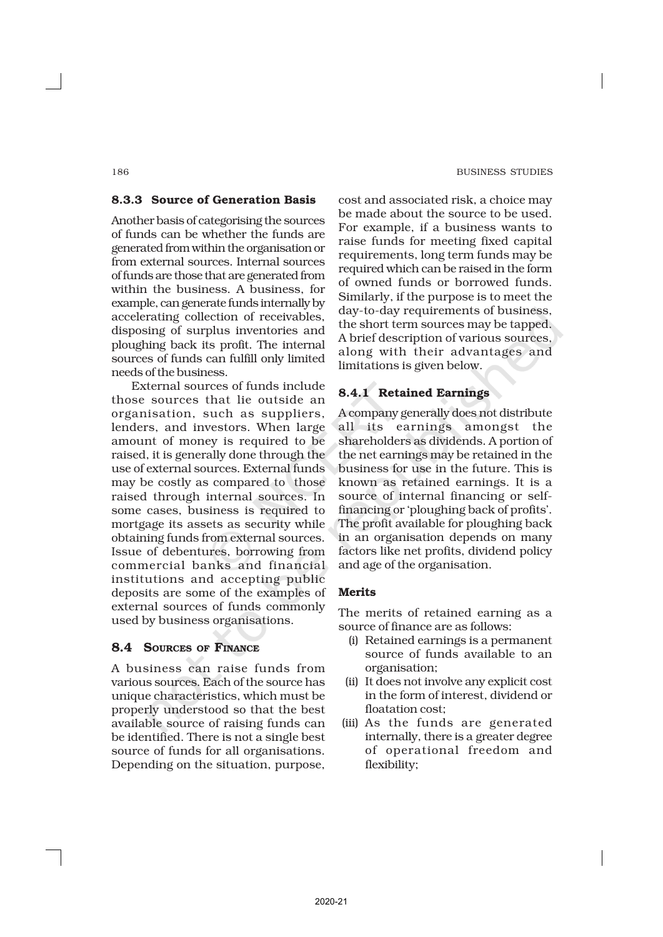# 8.3.3 Source of Generation Basis

Another basis of categorising the sources of funds can be whether the funds are generated from within the organisation or from external sources. Internal sources of funds are those that are generated from within the business. A business, for example, can generate funds internally by accelerating collection of receivables, disposing of surplus inventories and ploughing back its profit. The internal sources of funds can fulfill only limited needs of the business.

External sources of funds include those sources that lie outside an organisation, such as suppliers, lenders, and investors. When large amount of money is required to be raised, it is generally done through the use of external sources. External funds may be costly as compared to those raised through internal sources. In some cases, business is required to mortgage its assets as security while obtaining funds from external sources. Issue of debentures, borrowing from commercial banks and financial institutions and accepting public deposits are some of the examples of external sources of funds commonly used by business organisations.

# 8.4 SOURCES OF FINANCE

A business can raise funds from various sources. Each of the source has unique characteristics, which must be properly understood so that the best available source of raising funds can be identified. There is not a single best source of funds for all organisations. Depending on the situation, purpose, cost and associated risk, a choice may be made about the source to be used. For example, if a business wants to raise funds for meeting fixed capital requirements, long term funds may be required which can be raised in the form of owned funds or borrowed funds. Similarly, if the purpose is to meet the day-to-day requirements of business, the short term sources may be tapped. A brief description of various sources, along with their advantages and limitations is given below.

# 8.4.1 Retained Earnings

A company generally does not distribute all its earnings amongst the shareholders as dividends. A portion of the net earnings may be retained in the business for use in the future. This is known as retained earnings. It is a source of internal financing or selffinancing or 'ploughing back of profits'. The profit available for ploughing back in an organisation depends on many factors like net profits, dividend policy and age of the organisation.

#### Merits

The merits of retained earning as a source of finance are as follows:

- (i) Retained earnings is a permanent source of funds available to an organisation;
- (ii) It does not involve any explicit cost in the form of interest, dividend or floatation cost;
- (iii) As the funds are generated internally, there is a greater degree of operational freedom and flexibility;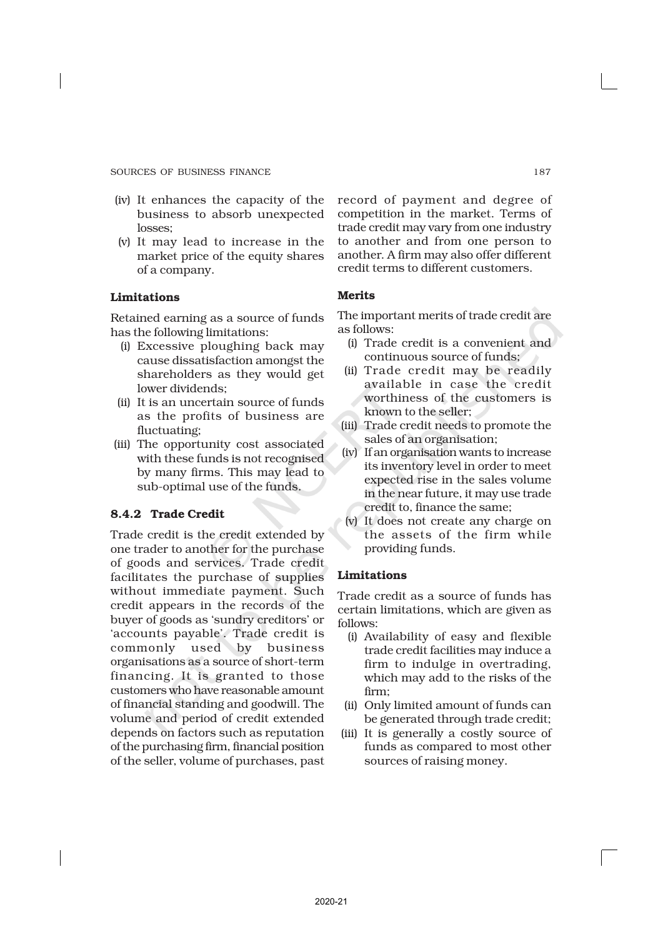- (iv) It enhances the capacity of the business to absorb unexpected losses;
- (v) It may lead to increase in the market price of the equity shares of a company.

# Limitations

Retained earning as a source of funds has the following limitations:

- (i) Excessive ploughing back may cause dissatisfaction amongst the shareholders as they would get lower dividends;
- (ii) It is an uncertain source of funds as the profits of business are fluctuating;
- (iii) The opportunity cost associated with these funds is not recognised by many firms. This may lead to sub-optimal use of the funds.

# 8.4.2 Trade Credit

Trade credit is the credit extended by one trader to another for the purchase of goods and services. Trade credit facilitates the purchase of supplies without immediate payment. Such credit appears in the records of the buyer of goods as 'sundry creditors' or 'accounts payable'. Trade credit is commonly used by business organisations as a source of short-term financing. It is granted to those customers who have reasonable amount of financial standing and goodwill. The volume and period of credit extended depends on factors such as reputation of the purchasing firm, financial position of the seller, volume of purchases, past

record of payment and degree of competition in the market. Terms of trade credit may vary from one industry to another and from one person to another. A firm may also offer different credit terms to different customers.

# Merits

The important merits of trade credit are as follows:

- (i) Trade credit is a convenient and continuous source of funds;
- (ii) Trade credit may be readily available in case the credit worthiness of the customers is known to the seller;
- (iii) Trade credit needs to promote the sales of an organisation;
- (iv) If an organisation wants to increase its inventory level in order to meet expected rise in the sales volume in the near future, it may use trade credit to, finance the same;
- (v) It does not create any charge on the assets of the firm while providing funds.

#### Limitations

Trade credit as a source of funds has certain limitations, which are given as follows:

- (i) Availability of easy and flexible trade credit facilities may induce a firm to indulge in overtrading, which may add to the risks of the firm;
- (ii) Only limited amount of funds can be generated through trade credit;
- (iii) It is generally a costly source of funds as compared to most other sources of raising money.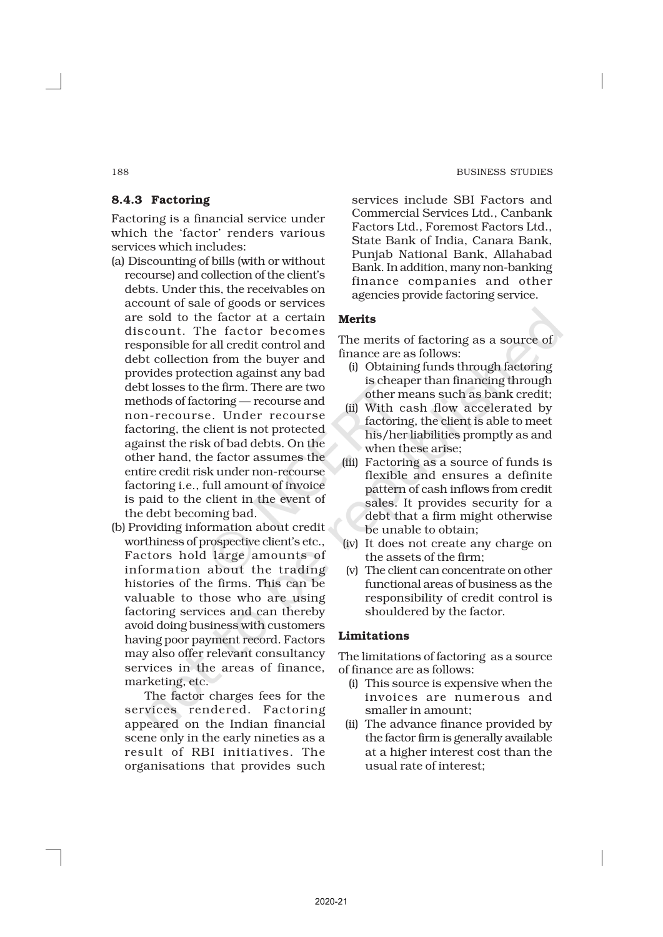# 8.4.3 Factoring

Factoring is a financial service under which the 'factor' renders various services which includes:

- (a) Discounting of bills (with or without recourse) and collection of the client's debts. Under this, the receivables on account of sale of goods or services are sold to the factor at a certain discount. The factor becomes responsible for all credit control and debt collection from the buyer and provides protection against any bad debt losses to the firm. There are two methods of factoring — recourse and non-recourse. Under recourse factoring, the client is not protected against the risk of bad debts. On the other hand, the factor assumes the entire credit risk under non-recourse factoring i.e., full amount of invoice is paid to the client in the event of the debt becoming bad.
- (b) Providing information about credit worthiness of prospective client's etc., Factors hold large amounts of information about the trading histories of the firms. This can be valuable to those who are using factoring services and can thereby avoid doing business with customers having poor payment record. Factors may also offer relevant consultancy services in the areas of finance, marketing, etc.

The factor charges fees for the services rendered. Factoring appeared on the Indian financial scene only in the early nineties as a result of RBI initiatives. The organisations that provides such

services include SBI Factors and Commercial Services Ltd., Canbank Factors Ltd., Foremost Factors Ltd., State Bank of India, Canara Bank, Punjab National Bank, Allahabad Bank. In addition, many non-banking finance companies and other agencies provide factoring service.

# Merits

The merits of factoring as a source of finance are as follows:

- (i) Obtaining funds through factoring is cheaper than financing through other means such as bank credit;
- (ii) With cash flow accelerated by factoring, the client is able to meet his/her liabilities promptly as and when these arise;
- (iii) Factoring as a source of funds is flexible and ensures a definite pattern of cash inflows from credit sales. It provides security for a debt that a firm might otherwise be unable to obtain;
- (iv) It does not create any charge on the assets of the firm;
- (v) The client can concentrate on other functional areas of business as the responsibility of credit control is shouldered by the factor.

### Limitations

The limitations of factoring as a source of finance are as follows:

- (i) This source is expensive when the invoices are numerous and smaller in amount;
- (ii) The advance finance provided by the factor firm is generally available at a higher interest cost than the usual rate of interest;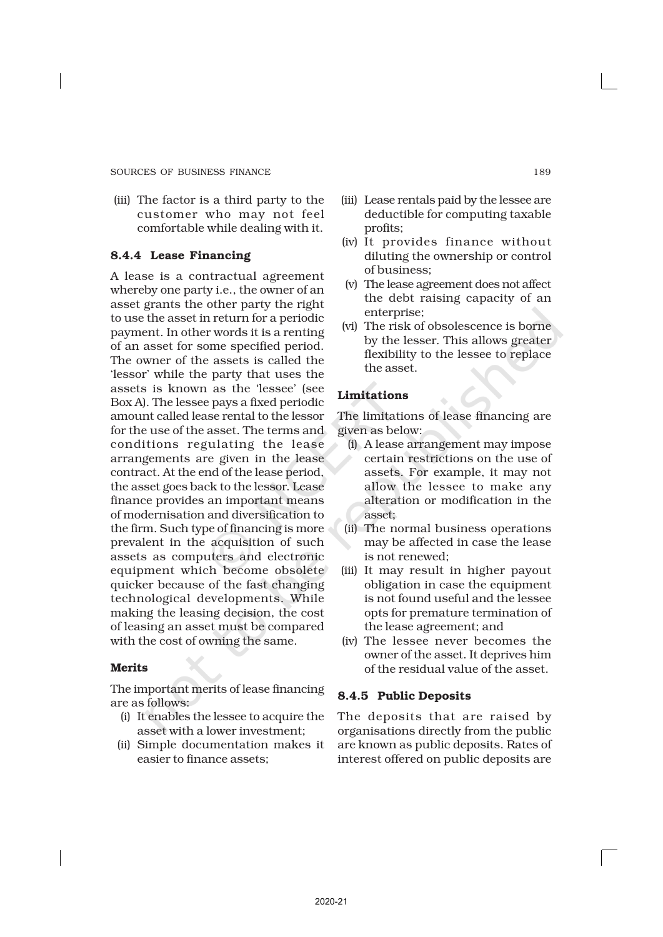(iii) The factor is a third party to the customer who may not feel comfortable while dealing with it.

# 8.4.4 Lease Financing

A lease is a contractual agreement whereby one party i.e., the owner of an asset grants the other party the right to use the asset in return for a periodic payment. In other words it is a renting of an asset for some specified period. The owner of the assets is called the 'lessor' while the party that uses the assets is known as the 'lessee' (see Box A). The lessee pays a fixed periodic amount called lease rental to the lessor for the use of the asset. The terms and conditions regulating the lease arrangements are given in the lease contract. At the end of the lease period, the asset goes back to the lessor. Lease finance provides an important means of modernisation and diversification to the firm. Such type of financing is more prevalent in the acquisition of such assets as computers and electronic equipment which become obsolete quicker because of the fast changing technological developments. While making the leasing decision, the cost of leasing an asset must be compared with the cost of owning the same.

# Merits

The important merits of lease financing are as follows:

- (i) It enables the lessee to acquire the asset with a lower investment;
- (ii) Simple documentation makes it easier to finance assets;
- (iii) Lease rentals paid by the lessee are deductible for computing taxable profits;
- (iv) It provides finance without diluting the ownership or control of business;
- (v) The lease agreement does not affect the debt raising capacity of an enterprise;
- (vi) The risk of obsolescence is borne by the lesser. This allows greater flexibility to the lessee to replace the asset.

# Limitations

The limitations of lease financing are given as below:

- (i) A lease arrangement may impose certain restrictions on the use of assets. For example, it may not allow the lessee to make any alteration or modification in the asset;
- (ii) The normal business operations may be affected in case the lease is not renewed;
- (iii) It may result in higher payout obligation in case the equipment is not found useful and the lessee opts for premature termination of the lease agreement; and
- (iv) The lessee never becomes the owner of the asset. It deprives him of the residual value of the asset.

# 8.4.5 Public Deposits

The deposits that are raised by organisations directly from the public are known as public deposits. Rates of interest offered on public deposits are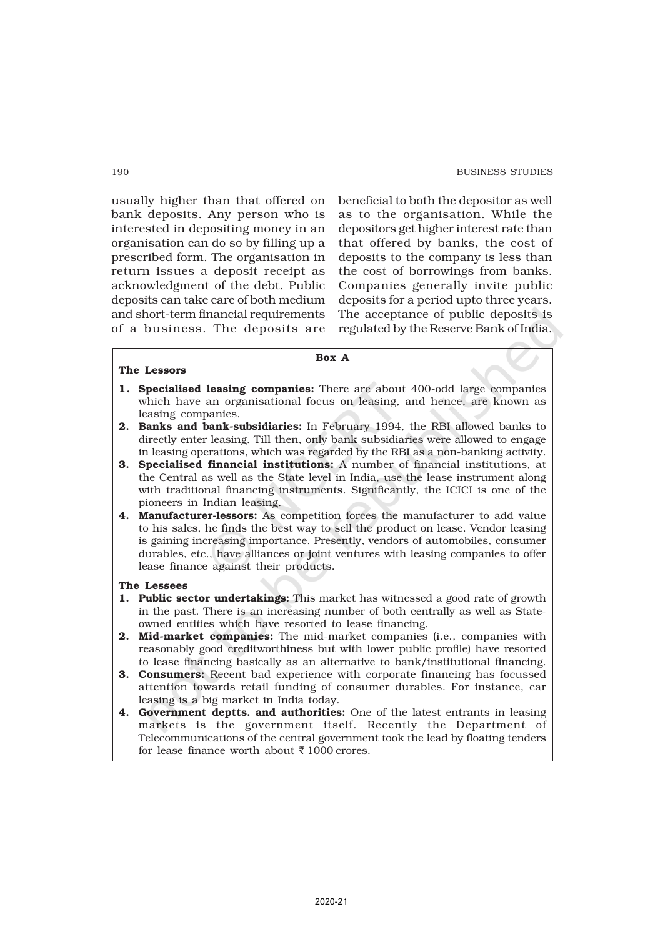usually higher than that offered on bank deposits. Any person who is interested in depositing money in an organisation can do so by filling up a prescribed form. The organisation in return issues a deposit receipt as acknowledgment of the debt. Public deposits can take care of both medium and short-term financial requirements of a business. The deposits are

beneficial to both the depositor as well as to the organisation. While the depositors get higher interest rate than that offered by banks, the cost of deposits to the company is less than the cost of borrowings from banks. Companies generally invite public deposits for a period upto three years. The acceptance of public deposits is regulated by the Reserve Bank of India.

## Box A

#### The Lessors

- 1. Specialised leasing companies: There are about 400-odd large companies which have an organisational focus on leasing, and hence, are known as leasing companies.
- 2. Banks and bank-subsidiaries: In February 1994, the RBI allowed banks to directly enter leasing. Till then, only bank subsidiaries were allowed to engage in leasing operations, which was regarded by the RBI as a non-banking activity.
- 3. Specialised financial institutions: A number of financial institutions, at the Central as well as the State level in India, use the lease instrument along with traditional financing instruments. Significantly, the ICICI is one of the pioneers in Indian leasing.
- 4. Manufacturer-lessors: As competition forces the manufacturer to add value to his sales, he finds the best way to sell the product on lease. Vendor leasing is gaining increasing importance. Presently, vendors of automobiles, consumer durables, etc., have alliances or joint ventures with leasing companies to offer lease finance against their products.

#### The Lessees

- 1. Public sector undertakings: This market has witnessed a good rate of growth in the past. There is an increasing number of both centrally as well as Stateowned entities which have resorted to lease financing.
- 2. Mid-market companies: The mid-market companies (i.e., companies with reasonably good creditworthiness but with lower public profile) have resorted to lease financing basically as an alternative to bank/institutional financing.
- 3. Consumers: Recent bad experience with corporate financing has focussed attention towards retail funding of consumer durables. For instance, car leasing is a big market in India today.
- 4. Government deptts. and authorities: One of the latest entrants in leasing markets is the government itself. Recently the Department of Telecommunications of the central government took the lead by floating tenders for lease finance worth about  $\bar{\tau}$  1000 crores.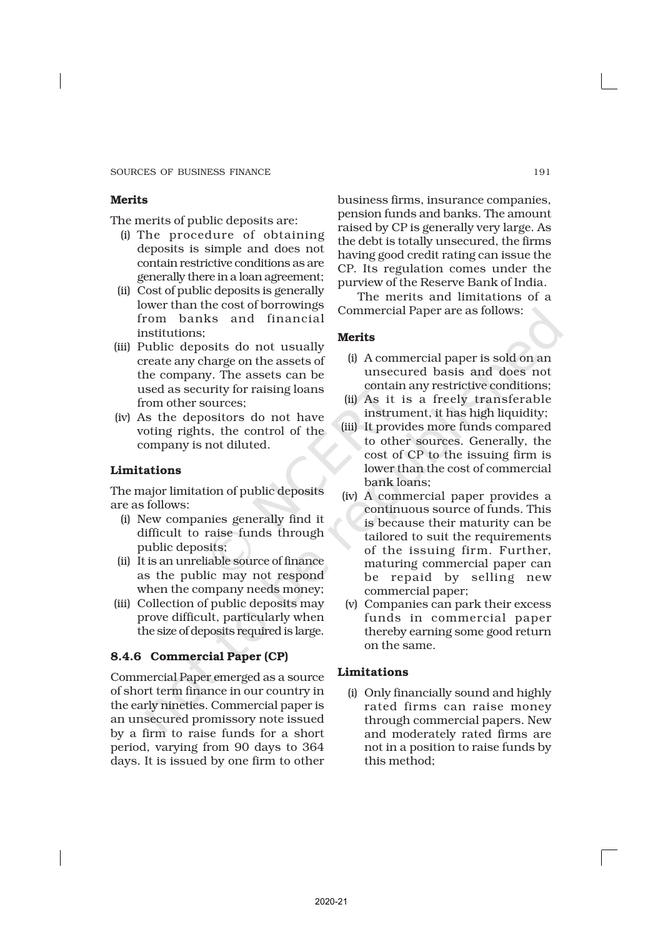# Merits

The merits of public deposits are:

- (i) The procedure of obtaining deposits is simple and does not contain restrictive conditions as are generally there in a loan agreement;
- (ii) Cost of public deposits is generally lower than the cost of borrowings from banks and financial institutions;
- (iii) Public deposits do not usually create any charge on the assets of the company. The assets can be used as security for raising loans from other sources;
- (iv) As the depositors do not have voting rights, the control of the company is not diluted.

# Limitations

The major limitation of public deposits are as follows:

- (i) New companies generally find it difficult to raise funds through public deposits;
- (ii) It is an unreliable source of finance as the public may not respond when the company needs money;
- (iii) Collection of public deposits may prove difficult, particularly when the size of deposits required is large.

# 8.4.6 Commercial Paper (CP)

Commercial Paper emerged as a source of short term finance in our country in the early nineties. Commercial paper is an unsecured promissory note issued by a firm to raise funds for a short period, varying from 90 days to 364 days. It is issued by one firm to other

business firms, insurance companies, pension funds and banks. The amount raised by CP is generally very large. As the debt is totally unsecured, the firms having good credit rating can issue the CP. Its regulation comes under the purview of the Reserve Bank of India.

The merits and limitations of a Commercial Paper are as follows:

# Merits

- (i) A commercial paper is sold on an unsecured basis and does not contain any restrictive conditions;
- (ii) As it is a freely transferable instrument, it has high liquidity;
- (iii) It provides more funds compared to other sources. Generally, the cost of CP to the issuing firm is lower than the cost of commercial bank loans;
- (iv) A commercial paper provides a continuous source of funds. This is because their maturity can be tailored to suit the requirements of the issuing firm. Further, maturing commercial paper can be repaid by selling new commercial paper;
- (v) Companies can park their excess funds in commercial paper thereby earning some good return on the same.

# Limitations

(i) Only financially sound and highly rated firms can raise money through commercial papers. New and moderately rated firms are not in a position to raise funds by this method;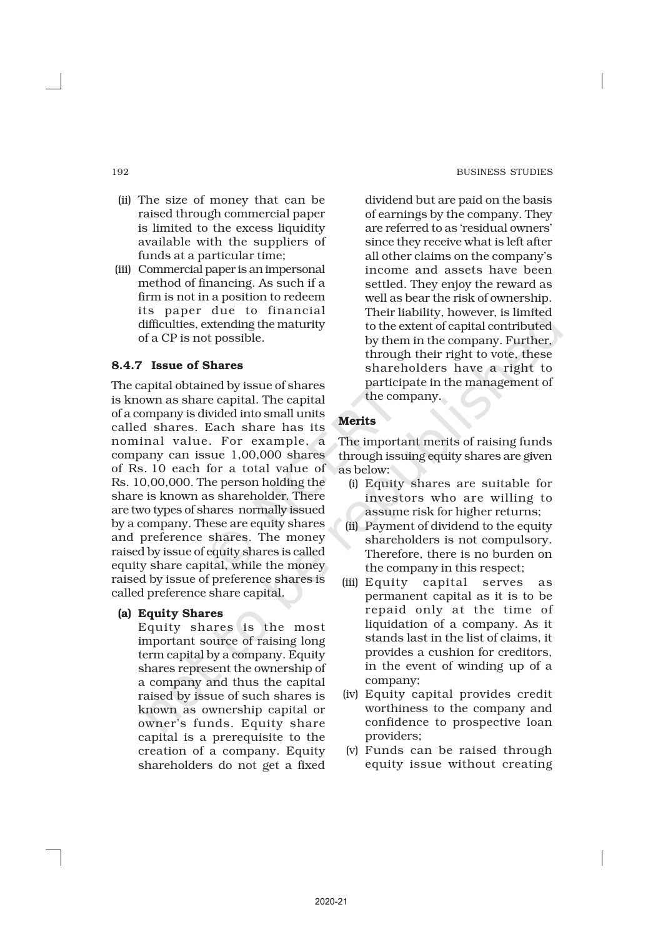- (ii) The size of money that can be raised through commercial paper is limited to the excess liquidity available with the suppliers of funds at a particular time;
- (iii) Commercial paper is an impersonal method of financing. As such if a firm is not in a position to redeem its paper due to financial difficulties, extending the maturity of a CP is not possible.

# 8.4.7 Issue of Shares

The capital obtained by issue of shares is known as share capital. The capital of a company is divided into small units called shares. Each share has its nominal value. For example, a company can issue 1,00,000 shares of Rs. 10 each for a total value of Rs. 10,00,000. The person holding the share is known as shareholder. There are two types of shares normally issued by a company. These are equity shares and preference shares. The money raised by issue of equity shares is called equity share capital, while the money raised by issue of preference shares is called preference share capital.

# (a) Equity Shares

Equity shares is the most important source of raising long term capital by a company. Equity shares represent the ownership of a company and thus the capital raised by issue of such shares is known as ownership capital or owner's funds. Equity share capital is a prerequisite to the creation of a company. Equity shareholders do not get a fixed

dividend but are paid on the basis of earnings by the company. They are referred to as 'residual owners' since they receive what is left after all other claims on the company's income and assets have been settled. They enjoy the reward as well as bear the risk of ownership. Their liability, however, is limited to the extent of capital contributed by them in the company. Further, through their right to vote, these shareholders have a right to participate in the management of the company.

# Merits

The important merits of raising funds through issuing equity shares are given as below:

- (i) Equity shares are suitable for investors who are willing to assume risk for higher returns;
- (ii) Payment of dividend to the equity shareholders is not compulsory. Therefore, there is no burden on the company in this respect;
- (iii) Equity capital serves as permanent capital as it is to be repaid only at the time of liquidation of a company. As it stands last in the list of claims, it provides a cushion for creditors, in the event of winding up of a company;
- (iv) Equity capital provides credit worthiness to the company and confidence to prospective loan providers;
- (v) Funds can be raised through equity issue without creating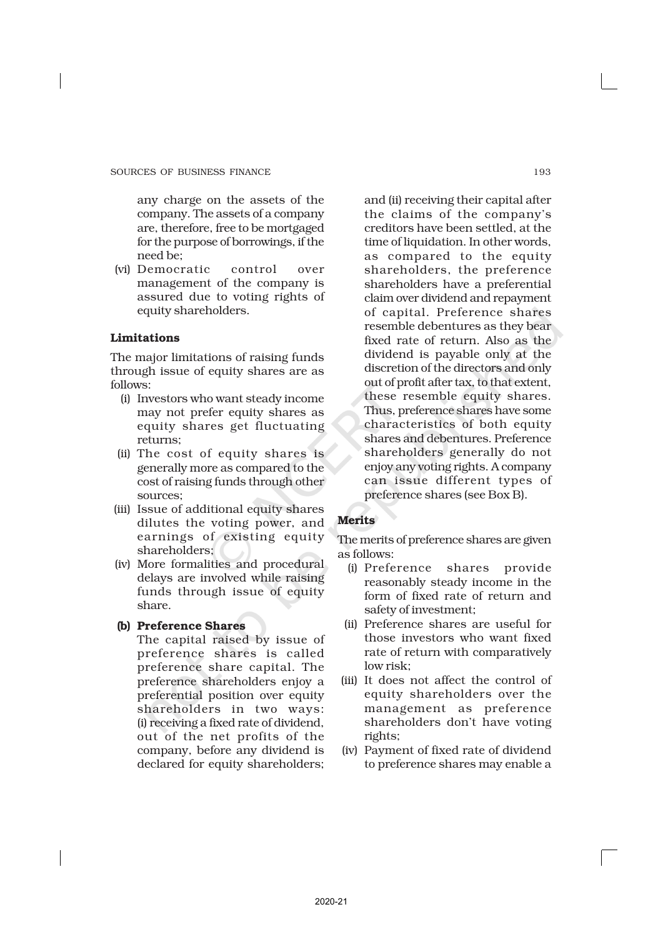any charge on the assets of the company. The assets of a company are, therefore, free to be mortgaged for the purpose of borrowings, if the need be;

(vi) Democratic control over management of the company is assured due to voting rights of equity shareholders.

# Limitations

The major limitations of raising funds through issue of equity shares are as follows:

- (i) Investors who want steady income may not prefer equity shares as equity shares get fluctuating returns;
- (ii) The cost of equity shares is generally more as compared to the cost of raising funds through other sources;
- (iii) Issue of additional equity shares dilutes the voting power, and earnings of existing equity shareholders;
- (iv) More formalities and procedural delays are involved while raising funds through issue of equity share.

# (b) Preference Shares

The capital raised by issue of preference shares is called preference share capital. The preference shareholders enjoy a preferential position over equity shareholders in two ways: (i) receiving a fixed rate of dividend, out of the net profits of the company, before any dividend is declared for equity shareholders;

and (ii) receiving their capital after the claims of the company's creditors have been settled, at the time of liquidation. In other words, as compared to the equity shareholders, the preference shareholders have a preferential claim over dividend and repayment of capital. Preference shares resemble debentures as they bear fixed rate of return. Also as the dividend is payable only at the discretion of the directors and only out of profit after tax, to that extent, these resemble equity shares. Thus, preference shares have some characteristics of both equity shares and debentures. Preference shareholders generally do not enjoy any voting rights. A company can issue different types of preference shares (see Box B).

# Merits

The merits of preference shares are given as follows:

- (i) Preference shares provide reasonably steady income in the form of fixed rate of return and safety of investment;
- (ii) Preference shares are useful for those investors who want fixed rate of return with comparatively low risk;
- (iii) It does not affect the control of equity shareholders over the management as preference shareholders don't have voting rights;
- (iv) Payment of fixed rate of dividend to preference shares may enable a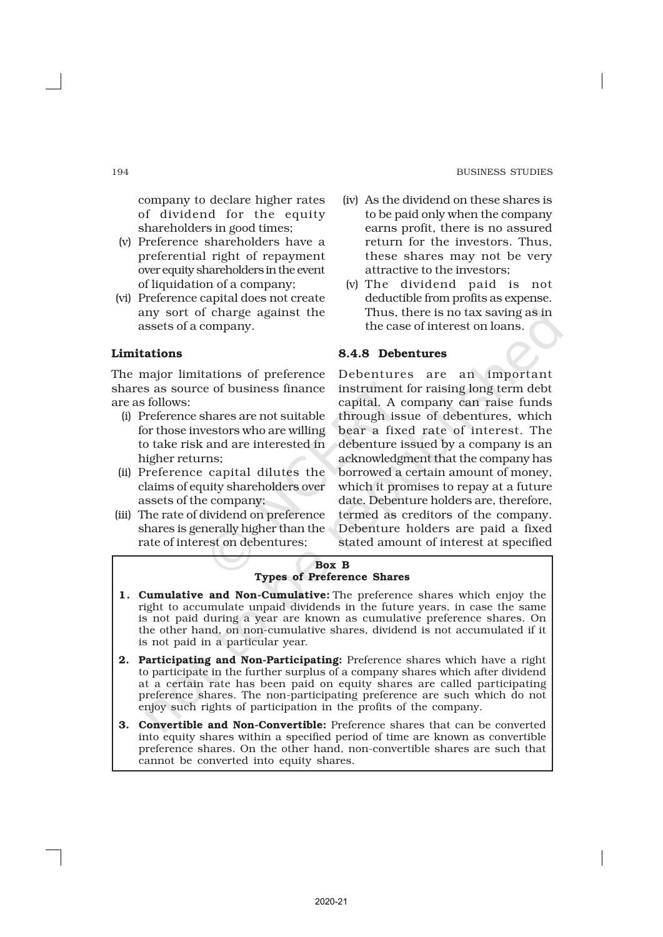company to declare higher rates of dividend for the equity shareholders in good times;

- (v) Preference shareholders have a preferential right of repayment over equity shareholders in the event of liquidation of a company;
- (vi) Preference capital does not create any sort of charge against the assets of a company.

# Limitations

The major limitations of preference shares as source of business finance are as follows:

- (i) Preference shares are not suitable for those investors who are willing to take risk and are interested in higher returns;
- (ii) Preference capital dilutes the claims of equity shareholders over assets of the company;
- (iii) The rate of dividend on preference shares is generally higher than the rate of interest on debentures;

cannot be converted into equity shares.

- (iv) As the dividend on these shares is to be paid only when the company earns profit, there is no assured return for the investors. Thus, these shares may not be very attractive to the investors;
- (v) The dividend paid is not deductible from profits as expense. Thus, there is no tax saving as in the case of interest on loans.

# 8.4.8 Debentures

Debentures are an important instrument for raising long term debt capital. A company can raise funds through issue of debentures, which bear a fixed rate of interest. The debenture issued by a company is an acknowledgment that the company has borrowed a certain amount of money, which it promises to repay at a future date. Debenture holders are, therefore, termed as creditors of the company. Debenture holders are paid a fixed stated amount of interest at specified

# Box B Types of Preference Shares 1. Cumulative and Non-Cumulative: The preference shares which enjoy the right to accumulate unpaid dividends in the future years, in case the same is not paid during a year are known as cumulative preference shares. On the other hand, on non-cumulative shares, dividend is not accumulated if it is not paid in a particular year. 2. Participating and Non-Participating: Preference shares which have a right to participate in the further surplus of a company shares which after dividend at a certain rate has been paid on equity shares are called participating preference shares. The non-participating preference are such which do not enjoy such rights of participation in the profits of the company. 3. Convertible and Non-Convertible: Preference shares that can be converted into equity shares within a specified period of time are known as convertible

preference shares. On the other hand, non-convertible shares are such that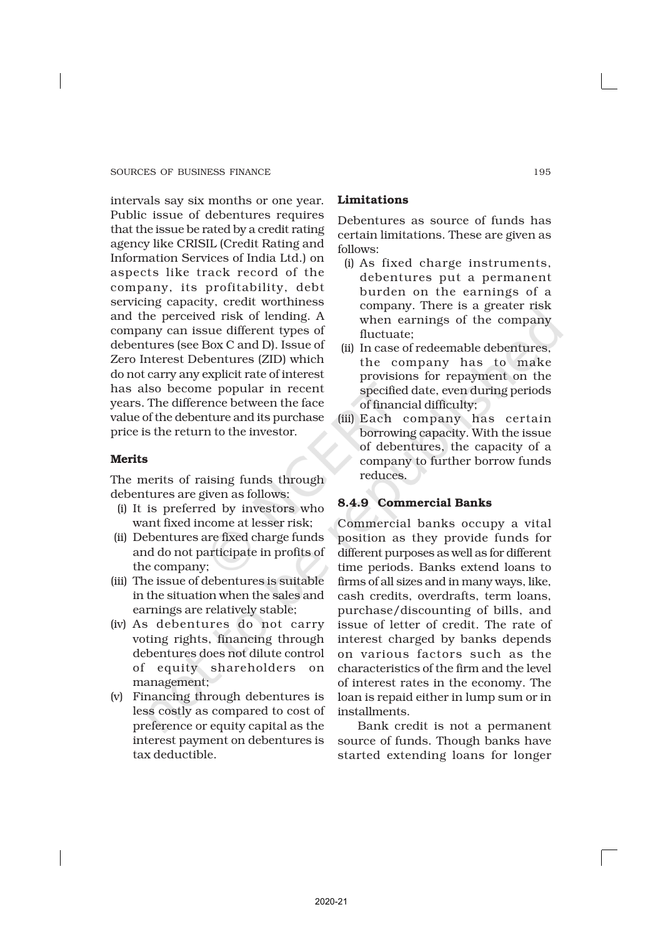intervals say six months or one year. Public issue of debentures requires that the issue be rated by a credit rating agency like CRISIL (Credit Rating and Information Services of India Ltd.) on aspects like track record of the company, its profitability, debt servicing capacity, credit worthiness and the perceived risk of lending. A company can issue different types of debentures (see Box C and D). Issue of Zero Interest Debentures (ZID) which do not carry any explicit rate of interest has also become popular in recent years. The difference between the face value of the debenture and its purchase price is the return to the investor.

# Merits

The merits of raising funds through debentures are given as follows:

- (i) It is preferred by investors who want fixed income at lesser risk;
- (ii) Debentures are fixed charge funds and do not participate in profits of the company;
- (iii) The issue of debentures is suitable in the situation when the sales and earnings are relatively stable;
- (iv) As debentures do not carry voting rights, financing through debentures does not dilute control of equity shareholders on management;
- (v) Financing through debentures is less costly as compared to cost of preference or equity capital as the interest payment on debentures is tax deductible.

# Limitations

Debentures as source of funds has certain limitations. These are given as follows:

- (i) As fixed charge instruments, debentures put a permanent burden on the earnings of a company. There is a greater risk when earnings of the company fluctuate;
- (ii) In case of redeemable debentures, the company has to make provisions for repayment on the specified date, even during periods of financial difficulty;
- (iii) Each company has certain borrowing capacity. With the issue of debentures, the capacity of a company to further borrow funds reduces.

### 8.4.9 Commercial Banks

Commercial banks occupy a vital position as they provide funds for different purposes as well as for different time periods. Banks extend loans to firms of all sizes and in many ways, like, cash credits, overdrafts, term loans, purchase/discounting of bills, and issue of letter of credit. The rate of interest charged by banks depends on various factors such as the characteristics of the firm and the level of interest rates in the economy. The loan is repaid either in lump sum or in installments.

Bank credit is not a permanent source of funds. Though banks have started extending loans for longer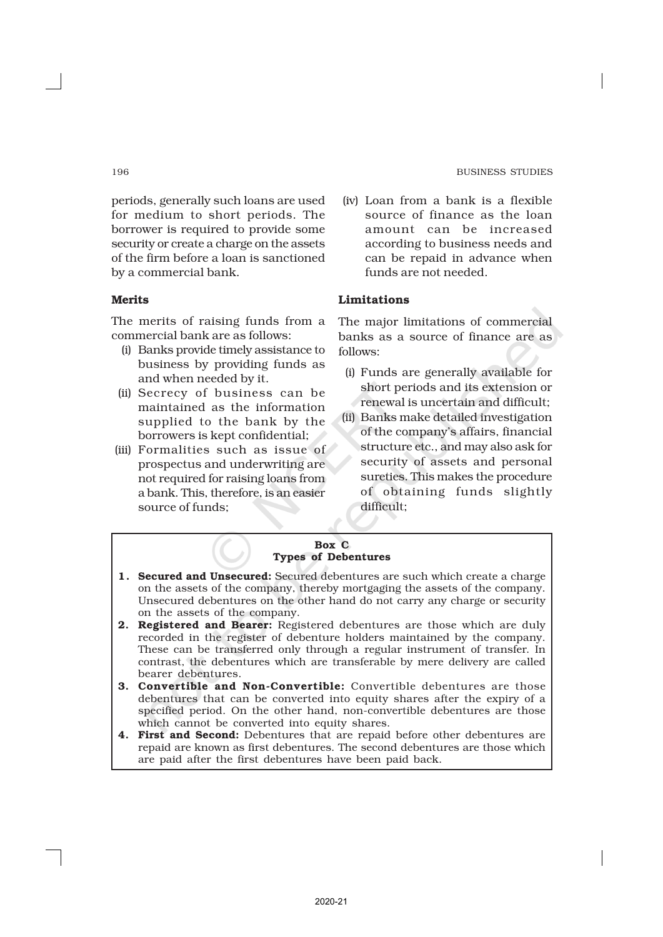#### 196 BUSINESS STUDIES

periods, generally such loans are used for medium to short periods. The borrower is required to provide some security or create a charge on the assets of the firm before a loan is sanctioned by a commercial bank.

# Merits

The merits of raising funds from a commercial bank are as follows:

- (i) Banks provide timely assistance to business by providing funds as and when needed by it.
- (ii) Secrecy of business can be maintained as the information supplied to the bank by the borrowers is kept confidential;
- (iii) Formalities such as issue of prospectus and underwriting are not required for raising loans from a bank. This, therefore, is an easier source of funds;

(iv) Loan from a bank is a flexible source of finance as the loan amount can be increased according to business needs and can be repaid in advance when funds are not needed.

# Limitations

The major limitations of commercial banks as a source of finance are as follows:

- (i) Funds are generally available for short periods and its extension or renewal is uncertain and difficult;
- (ii) Banks make detailed investigation of the company's affairs, financial structure etc., and may also ask for security of assets and personal sureties. This makes the procedure of obtaining funds slightly difficult;

# Box C Types of Debentures

- 1. Secured and Unsecured: Secured debentures are such which create a charge on the assets of the company, thereby mortgaging the assets of the company. Unsecured debentures on the other hand do not carry any charge or security on the assets of the company.
- 2. Registered and Bearer: Registered debentures are those which are duly recorded in the register of debenture holders maintained by the company. These can be transferred only through a regular instrument of transfer. In contrast, the debentures which are transferable by mere delivery are called bearer debentures.
- 3. Convertible and Non-Convertible: Convertible debentures are those debentures that can be converted into equity shares after the expiry of a specified period. On the other hand, non-convertible debentures are those which cannot be converted into equity shares.
- 4. First and Second: Debentures that are repaid before other debentures are repaid are known as first debentures. The second debentures are those which are paid after the first debentures have been paid back.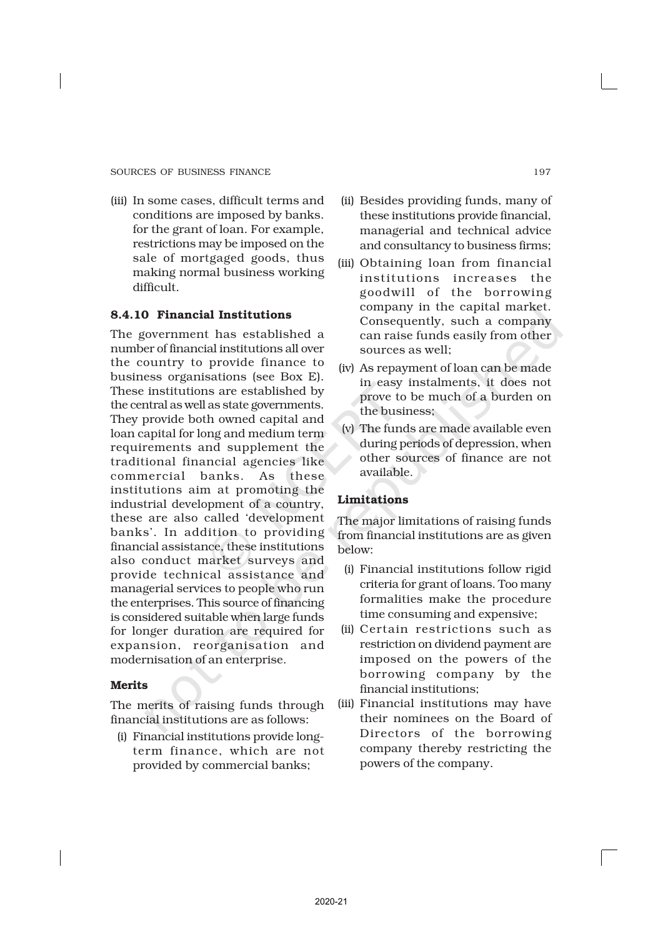(iii) In some cases, difficult terms and conditions are imposed by banks. for the grant of loan. For example, restrictions may be imposed on the sale of mortgaged goods, thus making normal business working difficult.

# 8.4.10 Financial Institutions

The government has established a number of financial institutions all over the country to provide finance to business organisations (see Box E). These institutions are established by the central as well as state governments. They provide both owned capital and loan capital for long and medium term requirements and supplement the traditional financial agencies like commercial banks. As these institutions aim at promoting the industrial development of a country, these are also called 'development banks'. In addition to providing financial assistance, these institutions also conduct market surveys and provide technical assistance and managerial services to people who run the enterprises. This source of financing is considered suitable when large funds for longer duration are required for expansion, reorganisation and modernisation of an enterprise.

# Merits

The merits of raising funds through financial institutions are as follows:

(i) Financial institutions provide longterm finance, which are not provided by commercial banks;

- (ii) Besides providing funds, many of these institutions provide financial, managerial and technical advice and consultancy to business firms;
- (iii) Obtaining loan from financial institutions increases the goodwill of the borrowing company in the capital market. Consequently, such a company can raise funds easily from other sources as well;
- (iv) As repayment of loan can be made in easy instalments, it does not prove to be much of a burden on the business;
- (v) The funds are made available even during periods of depression, when other sources of finance are not available.

# Limitations

The major limitations of raising funds from financial institutions are as given below:

- (i) Financial institutions follow rigid criteria for grant of loans. Too many formalities make the procedure time consuming and expensive;
- (ii) Certain restrictions such as restriction on dividend payment are imposed on the powers of the borrowing company by the financial institutions;
- (iii) Financial institutions may have their nominees on the Board of Directors of the borrowing company thereby restricting the powers of the company.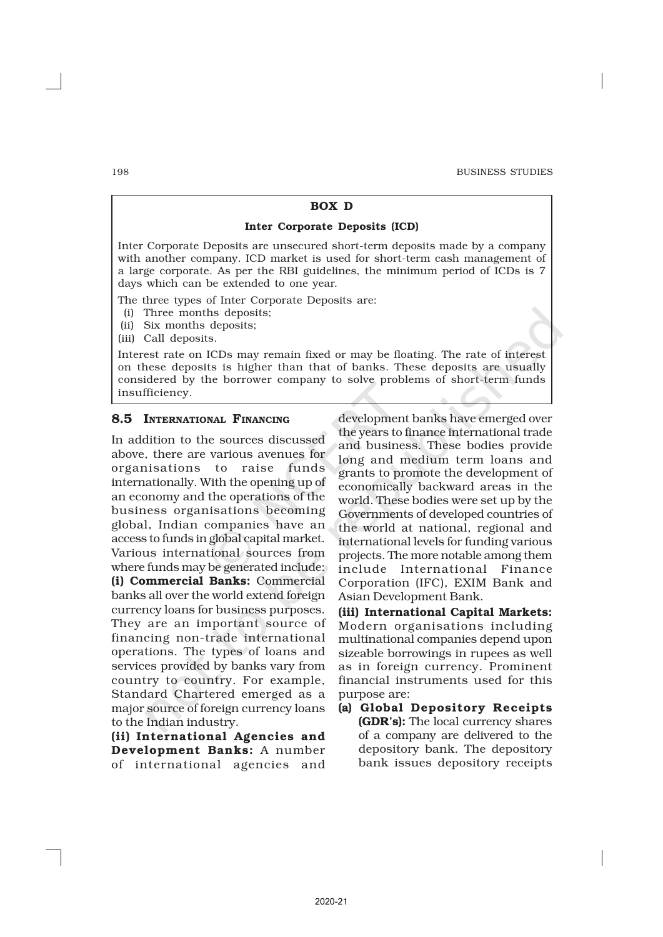# BOX D

#### Inter Corporate Deposits (ICD)

Inter Corporate Deposits are unsecured short-term deposits made by a company with another company. ICD market is used for short-term cash management of a large corporate. As per the RBI guidelines, the minimum period of ICDs is 7 days which can be extended to one year.

The three types of Inter Corporate Deposits are:

- (i) Three months deposits;
- (ii) Six months deposits;
- (iii) Call deposits.

Interest rate on ICDs may remain fixed or may be floating. The rate of interest on these deposits is higher than that of banks. These deposits are usually considered by the borrower company to solve problems of short-term funds insufficiency.

# 8.5 INTERNATIONAL FINANCING

In addition to the sources discussed above, there are various avenues for organisations to raise funds internationally. With the opening up of an economy and the operations of the business organisations becoming global, Indian companies have an access to funds in global capital market. Various international sources from where funds may be generated include: (i) Commercial Banks: Commercial banks all over the world extend foreign currency loans for business purposes. They are an important source of financing non-trade international operations. The types of loans and services provided by banks vary from country to country. For example, Standard Chartered emerged as a major source of foreign currency loans to the Indian industry.

(ii) International Agencies and Development Banks: A number of international agencies and development banks have emerged over the years to finance international trade and business. These bodies provide long and medium term loans and grants to promote the development of economically backward areas in the world. These bodies were set up by the Governments of developed countries of the world at national, regional and international levels for funding various projects. The more notable among them include International Finance Corporation (IFC), EXIM Bank and Asian Development Bank.

(iii) International Capital Markets: Modern organisations including multinational companies depend upon sizeable borrowings in rupees as well as in foreign currency. Prominent financial instruments used for this purpose are:

(a) Global Depository Receipts (GDR's): The local currency shares of a company are delivered to the depository bank. The depository bank issues depository receipts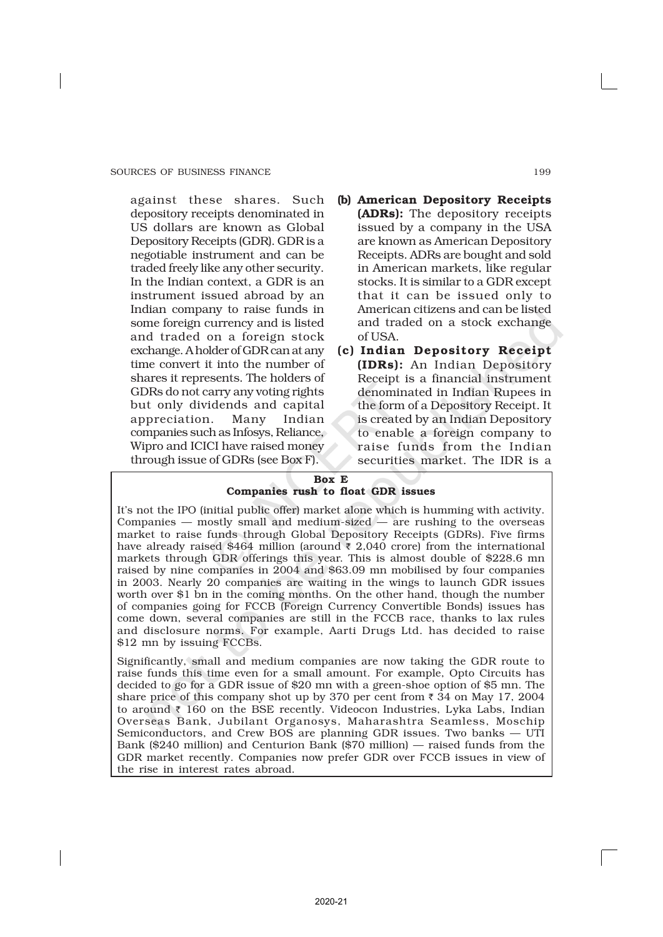against these shares. Such depository receipts denominated in US dollars are known as Global Depository Receipts (GDR). GDR is a negotiable instrument and can be traded freely like any other security. In the Indian context, a GDR is an instrument issued abroad by an Indian company to raise funds in some foreign currency and is listed and traded on a foreign stock exchange. A holder of GDR can at any time convert it into the number of shares it represents. The holders of GDRs do not carry any voting rights but only dividends and capital appreciation. Many Indian companies such as Infosys, Reliance, Wipro and ICICI have raised money through issue of GDRs (see Box F).

- (b) American Depository Receipts (ADRs): The depository receipts issued by a company in the USA are known as American Depository Receipts. ADRs are bought and sold in American markets, like regular stocks. It is similar to a GDR except that it can be issued only to American citizens and can be listed and traded on a stock exchange of USA.
- (c) Indian Depository Receipt (IDRs): An Indian Depository Receipt is a financial instrument denominated in Indian Rupees in the form of a Depository Receipt. It is created by an Indian Depository to enable a foreign company to raise funds from the Indian securities market. The IDR is a

#### Box E Companies rush to float GDR issues

It's not the IPO (initial public offer) market alone which is humming with activity. Companies — mostly small and medium-sized — are rushing to the overseas market to raise funds through Global Depository Receipts (GDRs). Five firms have already raised \$464 million (around  $\bar{\tau}$  2,040 crore) from the international markets through GDR offerings this year. This is almost double of \$228.6 mn raised by nine companies in 2004 and \$63.09 mn mobilised by four companies in 2003. Nearly 20 companies are waiting in the wings to launch GDR issues worth over \$1 bn in the coming months. On the other hand, though the number of companies going for FCCB (Foreign Currency Convertible Bonds) issues has come down, several companies are still in the FCCB race, thanks to lax rules and disclosure norms. For example, Aarti Drugs Ltd. has decided to raise \$12 mn by issuing FCCBs.

Significantly, small and medium companies are now taking the GDR route to raise funds this time even for a small amount. For example, Opto Circuits has decided to go for a GDR issue of \$20 mn with a green-shoe option of \$5 mn. The share price of this company shot up by 370 per cent from  $\bar{\tau}$  34 on May 17, 2004 to around  $\bar{\tau}$  160 on the BSE recently. Videocon Industries, Lyka Labs, Indian Overseas Bank, Jubilant Organosys, Maharashtra Seamless, Moschip Semiconductors, and Crew BOS are planning GDR issues. Two banks — UTI Bank (\$240 million) and Centurion Bank (\$70 million) — raised funds from the GDR market recently. Companies now prefer GDR over FCCB issues in view of the rise in interest rates abroad.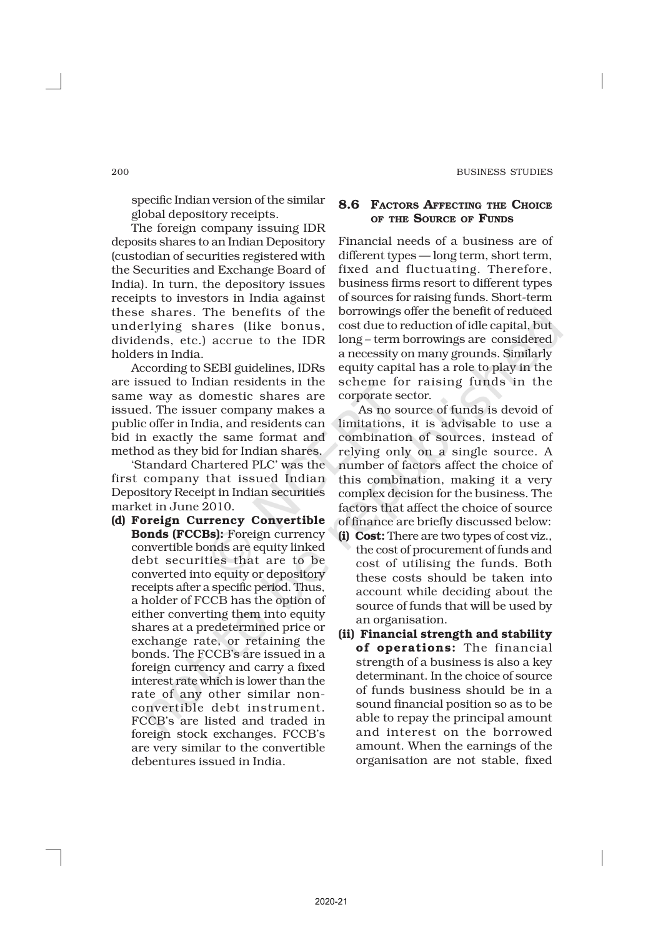specific Indian version of the similar global depository receipts.

The foreign company issuing IDR deposits shares to an Indian Depository (custodian of securities registered with the Securities and Exchange Board of India). In turn, the depository issues receipts to investors in India against these shares. The benefits of the underlying shares (like bonus, dividends, etc.) accrue to the IDR holders in India.

According to SEBI guidelines, IDRs are issued to Indian residents in the same way as domestic shares are issued. The issuer company makes a public offer in India, and residents can bid in exactly the same format and method as they bid for Indian shares.

'Standard Chartered PLC' was the first company that issued Indian Depository Receipt in Indian securities market in June 2010.

(d) Foreign Currency Convertible Bonds (FCCBs): Foreign currency convertible bonds are equity linked debt securities that are to be converted into equity or depository receipts after a specific period. Thus, a holder of FCCB has the option of either converting them into equity shares at a predetermined price or exchange rate, or retaining the bonds. The FCCB's are issued in a foreign currency and carry a fixed interest rate which is lower than the rate of any other similar nonconvertible debt instrument. FCCB's are listed and traded in foreign stock exchanges. FCCB's are very similar to the convertible debentures issued in India.

# 8.6 FACTORS AFFECTING THE CHOICE OF THE SOURCE OF FUNDS

Financial needs of a business are of different types — long term, short term, fixed and fluctuating. Therefore, business firms resort to different types of sources for raising funds. Short-term borrowings offer the benefit of reduced cost due to reduction of idle capital, but long – term borrowings are considered a necessity on many grounds. Similarly equity capital has a role to play in the scheme for raising funds in the corporate sector.

As no source of funds is devoid of limitations, it is advisable to use a combination of sources, instead of relying only on a single source. A number of factors affect the choice of this combination, making it a very complex decision for the business. The factors that affect the choice of source of finance are briefly discussed below:

- (i) Cost: There are two types of cost viz., the cost of procurement of funds and cost of utilising the funds. Both these costs should be taken into account while deciding about the source of funds that will be used by an organisation.
- (ii) Financial strength and stability of operations: The financial strength of a business is also a key determinant. In the choice of source of funds business should be in a sound financial position so as to be able to repay the principal amount and interest on the borrowed amount. When the earnings of the organisation are not stable, fixed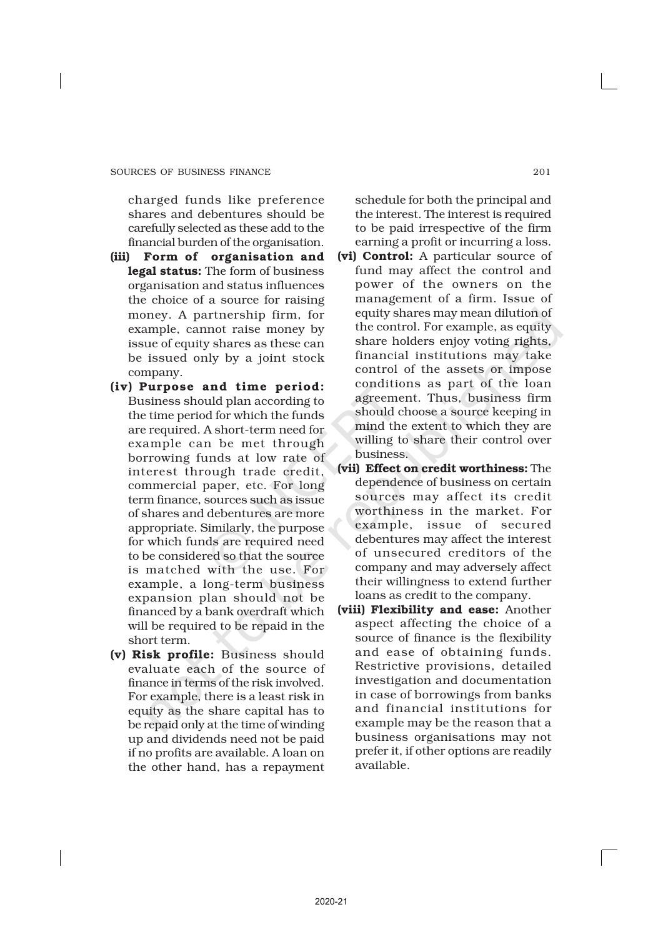charged funds like preference shares and debentures should be carefully selected as these add to the financial burden of the organisation.

- (iii) Form of organisation and legal status: The form of business organisation and status influences the choice of a source for raising money. A partnership firm, for example, cannot raise money by issue of equity shares as these can be issued only by a joint stock company.
- (iv) Purpose and time period: Business should plan according to the time period for which the funds are required. A short-term need for example can be met through borrowing funds at low rate of interest through trade credit, commercial paper, etc. For long term finance, sources such as issue of shares and debentures are more appropriate. Similarly, the purpose for which funds are required need to be considered so that the source is matched with the use. For example, a long-term business expansion plan should not be financed by a bank overdraft which will be required to be repaid in the short term.
- (v) Risk profile: Business should evaluate each of the source of finance in terms of the risk involved. For example, there is a least risk in equity as the share capital has to be repaid only at the time of winding up and dividends need not be paid if no profits are available. A loan on the other hand, has a repayment

schedule for both the principal and the interest. The interest is required to be paid irrespective of the firm earning a profit or incurring a loss.

- (vi) Control: A particular source of fund may affect the control and power of the owners on the management of a firm. Issue of equity shares may mean dilution of the control. For example, as equity share holders enjoy voting rights, financial institutions may take control of the assets or impose conditions as part of the loan agreement. Thus, business firm should choose a source keeping in mind the extent to which they are willing to share their control over business.
- (vii) Effect on credit worthiness: The dependence of business on certain sources may affect its credit worthiness in the market. For example, issue of secured debentures may affect the interest of unsecured creditors of the company and may adversely affect their willingness to extend further loans as credit to the company.
- (viii) Flexibility and ease: Another aspect affecting the choice of a source of finance is the flexibility and ease of obtaining funds. Restrictive provisions, detailed investigation and documentation in case of borrowings from banks and financial institutions for example may be the reason that a business organisations may not prefer it, if other options are readily available.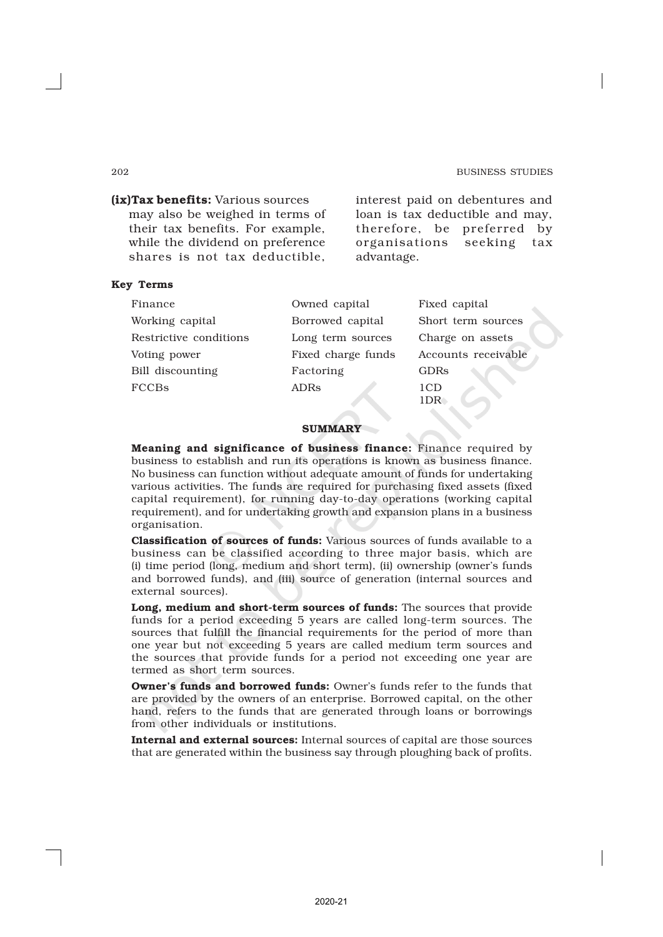#### 202 BUSINESS STUDIES

(ix)Tax benefits: Various sources may also be weighed in terms of their tax benefits. For example, while the dividend on preference shares is not tax deductible, interest paid on debentures and loan is tax deductible and may, therefore, be preferred by organisations seeking tax advantage.

# Key Terms

Finance **Owned capital Fixed capital** Working capital Borrowed capital Short term sources Restrictive conditions Long term sources Charge on assets Voting power Fixed charge funds Accounts receivable Bill discounting Factoring GDRs FCCBs ADRs 1CD

1DR

#### **SUMMARY**

Meaning and significance of business finance: Finance required by business to establish and run its operations is known as business finance. No business can function without adequate amount of funds for undertaking various activities. The funds are required for purchasing fixed assets (fixed capital requirement), for running day-to-day operations (working capital requirement), and for undertaking growth and expansion plans in a business organisation.

Classification of sources of funds: Various sources of funds available to a business can be classified according to three major basis, which are (i) time period (long, medium and short term), (ii) ownership (owner's funds and borrowed funds), and (iii) source of generation (internal sources and external sources).

Long, medium and short-term sources of funds: The sources that provide funds for a period exceeding 5 years are called long-term sources. The sources that fulfill the financial requirements for the period of more than one year but not exceeding 5 years are called medium term sources and the sources that provide funds for a period not exceeding one year are termed as short term sources.

Owner's funds and borrowed funds: Owner's funds refer to the funds that are provided by the owners of an enterprise. Borrowed capital, on the other hand, refers to the funds that are generated through loans or borrowings from other individuals or institutions.

Internal and external sources: Internal sources of capital are those sources that are generated within the business say through ploughing back of profits.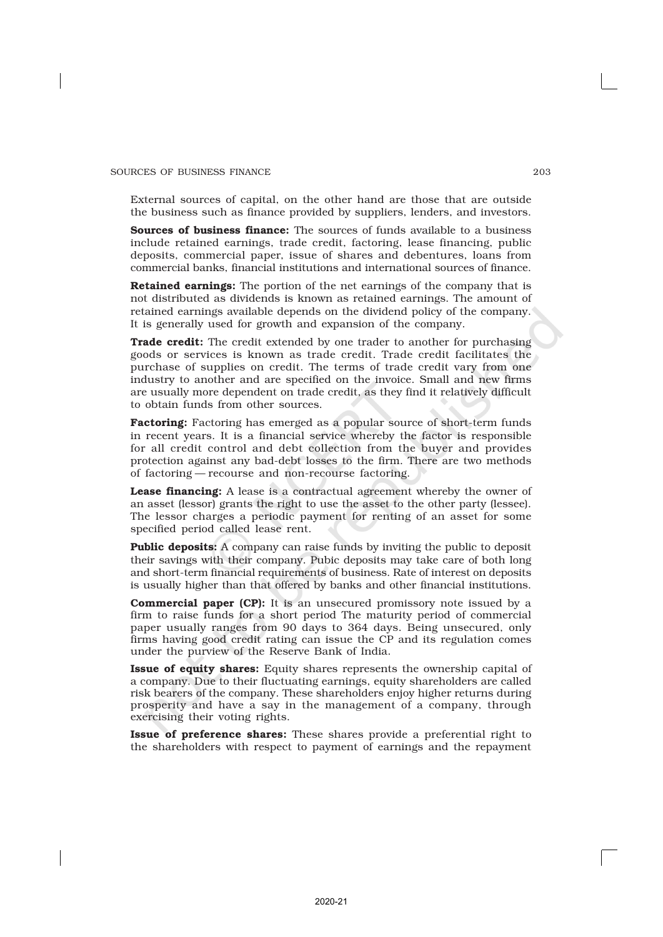External sources of capital, on the other hand are those that are outside the business such as finance provided by suppliers, lenders, and investors.

Sources of business finance: The sources of funds available to a business include retained earnings, trade credit, factoring, lease financing, public deposits, commercial paper, issue of shares and debentures, loans from commercial banks, financial institutions and international sources of finance.

**Retained earnings:** The portion of the net earnings of the company that is not distributed as dividends is known as retained earnings. The amount of retained earnings available depends on the dividend policy of the company. It is generally used for growth and expansion of the company.

**Trade credit:** The credit extended by one trader to another for purchasing goods or services is known as trade credit. Trade credit facilitates the purchase of supplies on credit. The terms of trade credit vary from one industry to another and are specified on the invoice. Small and new firms are usually more dependent on trade credit, as they find it relatively difficult to obtain funds from other sources.

Factoring: Factoring has emerged as a popular source of short-term funds in recent years. It is a financial service whereby the factor is responsible for all credit control and debt collection from the buyer and provides protection against any bad-debt losses to the firm. There are two methods of factoring — recourse and non-recourse factoring.

Lease financing: A lease is a contractual agreement whereby the owner of an asset (lessor) grants the right to use the asset to the other party (lessee). The lessor charges a periodic payment for renting of an asset for some specified period called lease rent.

**Public deposits:** A company can raise funds by inviting the public to deposit their savings with their company. Pubic deposits may take care of both long and short-term financial requirements of business. Rate of interest on deposits is usually higher than that offered by banks and other financial institutions.

Commercial paper (CP): It is an unsecured promissory note issued by a firm to raise funds for a short period The maturity period of commercial paper usually ranges from 90 days to 364 days. Being unsecured, only firms having good credit rating can issue the CP and its regulation comes under the purview of the Reserve Bank of India.

Issue of equity shares: Equity shares represents the ownership capital of a company. Due to their fluctuating earnings, equity shareholders are called risk bearers of the company. These shareholders enjoy higher returns during prosperity and have a say in the management of a company, through exercising their voting rights.

Issue of preference shares: These shares provide a preferential right to the shareholders with respect to payment of earnings and the repayment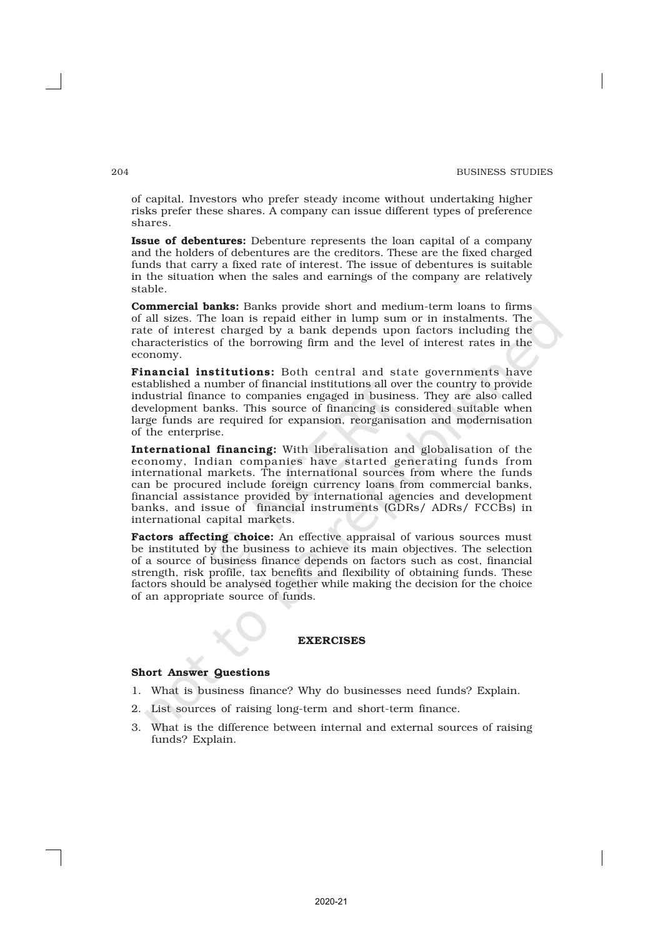of capital. Investors who prefer steady income without undertaking higher risks prefer these shares. A company can issue different types of preference shares.

Issue of debentures: Debenture represents the loan capital of a company and the holders of debentures are the creditors. These are the fixed charged funds that carry a fixed rate of interest. The issue of debentures is suitable in the situation when the sales and earnings of the company are relatively stable.

Commercial banks: Banks provide short and medium-term loans to firms of all sizes. The loan is repaid either in lump sum or in instalments. The rate of interest charged by a bank depends upon factors including the characteristics of the borrowing firm and the level of interest rates in the economy.

Financial institutions: Both central and state governments have established a number of financial institutions all over the country to provide industrial finance to companies engaged in business. They are also called development banks. This source of financing is considered suitable when large funds are required for expansion, reorganisation and modernisation of the enterprise.

International financing: With liberalisation and globalisation of the economy, Indian companies have started generating funds from international markets. The international sources from where the funds can be procured include foreign currency loans from commercial banks, financial assistance provided by international agencies and development banks, and issue of financial instruments (GDRs/ ADRs/ FCCBs) in international capital markets.

Factors affecting choice: An effective appraisal of various sources must be instituted by the business to achieve its main objectives. The selection of a source of business finance depends on factors such as cost, financial strength, risk profile, tax benefits and flexibility of obtaining funds. These factors should be analysed together while making the decision for the choice of an appropriate source of funds.

#### EXERCISES

#### Short Answer Questions

- 1. What is business finance? Why do businesses need funds? Explain.
- 2. List sources of raising long-term and short-term finance.
- 3. What is the difference between internal and external sources of raising funds? Explain.